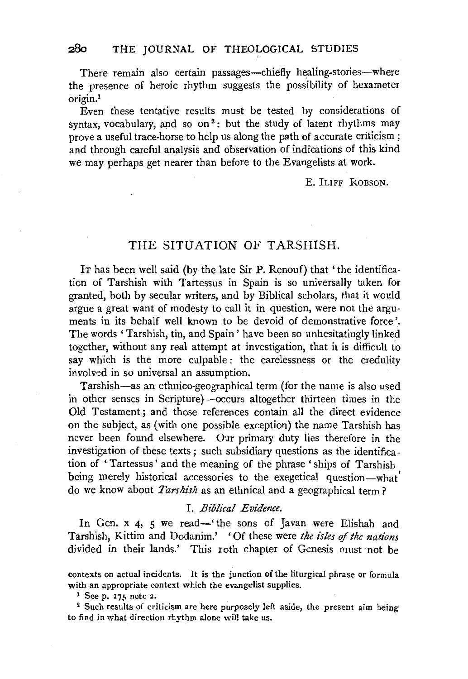There remain also certain passages-chiefly healing-stories-where the presence of heroic rhythm suggests the possibility of hexameter origin.<sup>1</sup>

Even these tentative results must be tested by considerations of syntax, vocabulary, and so on<sup>2</sup>: but the study of latent rhythms may prove a useful trace-horse to help us along the path of accurate criticism ; and through careful analysis and observation of indications of this kind we may perhaps get nearer than before to the Evangelists at work.

#### E. ILIFF ROBSON.

# THE SITUATION OF TARSHISH.

IT has been well said (by the late Sir P. Renouf} that 'the identification of Tarshish with Tartessus in Spain is so universally taken for granted, both by secular writers, and by Biblical scholars, that it would argue a great want of modesty to call it in question, were not the argu· ments in its behalf well known to be devoid of demonstrative force'. The words 'Tarshish, tin, and Spain ' have been so unhesitatingly linked together, without any real attempt at investigation, that it is difficult to say which is the more culpable: the carelessness or the credulity involved in so universal an assumption.

Tarshish-as an ethnico-geographical term (for the name is also used in other senses in Scripture)-occurs altogether thirteen times in the Old Testament; and those references contain all the direct evidence on the subject, as (with one possible exception) the name Tarshish has never been found elsewhere. Our primary duty lies therefore in the investigation of these texts; such subsidiary questions as the identification of 'Tartessus' and the meaning of the phrase 'ships of Tarshish being merely historical accessories to the exegetical question-what' do we know about *Tarshish* as an ethnical and a geographical term?

## I. *Biblical Evidence.*

In Gen. x 4, 5 we read-' the sons of Javan were Elishah and Tarshish, Kittim and Dodanim.' 'Of these were *the isles* if *the nations*  divided in their lands.' This 1oth chapter of Genesis must not be

2 Such results of criticism are here purposely left aside, the present aim being to find in what direction rhythm alone will take us.

contexts on actual incidents. It is the junction of the liturgical phrase or formula with an appropriate context which the evangelist supplies.<br> $1 \text{ See p. } 275 \text{ note } 2$ .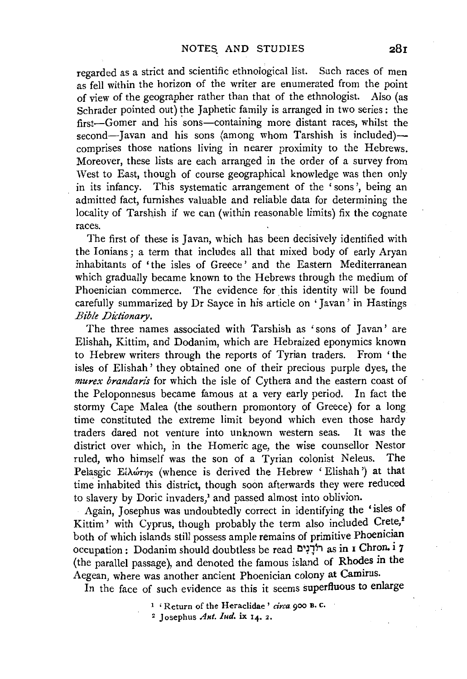regarded as a strict and scientific ethnological list. Such races of men as fell within the horizon of the writer are enumerated from the point of view of the geographer rather than that of the ethnologist. Also (as Schrader pointed out) the Japhetic family is arranged in two series: the first-Gomer and his sons-containing more distant races, whilst the second-Javan and his sons (among whom Tarshish is included)comprises those nations living in nearer proximity to the Hebrews. Moreover, these lists are each arranged in the order of a survey from West to East, though of course geographical knowledge was then only in its infancy. This systematic arrangement of the 'sons', being an admitted fact, furnishes valuable and reliable data for determining the locality of Tarshish if we can (within reasonable limits) fix the cognate races.

The first of these is Javan, which has been decisively identified with the Ionians; a term that includes all that mixed body of early Aryan inhabitants of 'the isles of Greece ' and the Eastern Mediterranean which gradually became known to the Hebrews through the medium of Phoenician commerce. The evidence for this identity will be found carefully summarized by Dr Sayee in his article on 'Javan' in Hastings *Bible Dictionary.* 

The three names associated with Tarshish as 'sons of Javan' are Elishah, Kittim, and Dodanim, which are Hebraized eponymies known to Hebrew writers through the reports of Tyrian traders. From 'the isles of Elishah' they obtained one of their precious purple dyes, the *murex brandaris* for which the isle of Cythera and the eastern coast of the Peloponnesus became famous at a very early period. In fact the stormy Cape Malea (the southern promontory of Greece) for a long time constituted the extreme limit beyond which even those hardy traders dared not venture into unknown western seas. It was the district over which, in the Homeric age, the wise counsellor Nestor ruled, who himself was the son of a Tyrian colonist Neleus. The Pelasgic E $\lambda \omega \tau$  (whence is derived the Hebrew 'Elishah') at that time inhabited this district, though soon afterwards they were reduced to slavery by Doric invaders,<sup>1</sup> and passed almost into oblivion.

Again, Josephus was undoubtedly correct in identifying the 'isles of Kittim' with Cyprus, though probably the term also included Crete,<sup>2</sup> both of which islands still possess ample remains of primitive Phoenician occupation : Dodanim should doubtless be read רוֹרָנִים as in 1 Chron. 17 (the parallel passage), and denoted the famous island of Rhodes in the Aegean, where was another ancient Phoenician colony at Camirus.

In the face of such evidence as this it seems superfluous to enlarge

<sup>1 &#</sup>x27; Return of the Heraclidae ' *circa* 900 B. c. 2 Josephus *Ant. Iud.* ix 14. 2.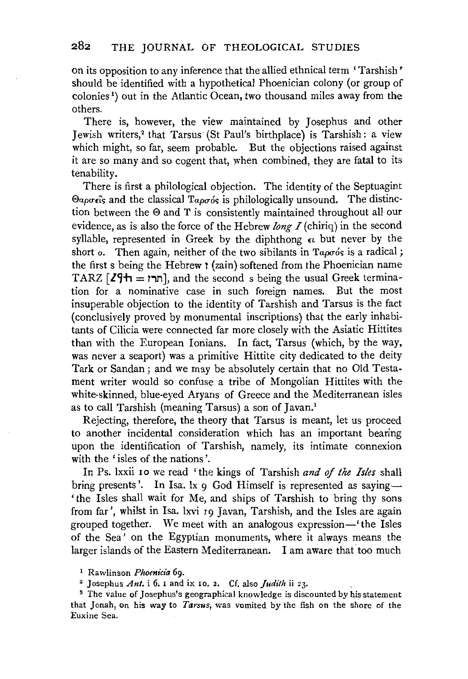on its opposition to any inference that the allied ethnical term 'Tarshish • should be identified with a hypothetical Phoenician colony (or group of colonies<sup>1</sup>) out in the Atlantic Ocean, two thousand miles away from the others.

There is, however, the view maintained by Josephus and other Jewish writers/ that Tarsus (St Paul's birthplace) is Tarshish: a view which might, so far, seem probable. But the objections raised against it are so many and so cogent that, when combined, they are fatal to its tenability.

There is first a philological objection. The identity of the Septuagint *®ap(dis* and the classical *Tapuos* is philologically unsound. The distinction between the ® and T is consistently maintained throughout all our evidence, as is also the force of the Hebrew *long I* (chiriq) in the second syllable, represented in Greek by the diphthong  $\epsilon$  but never by the short  $\alpha$ . Then again, neither of the two sibilants in Tapoo's is a radical; the first s being the Hebrew  $\mathfrak{t}$  (zain) softened from the Phoenician name  $\text{TARZ}$  [ $29\text{H} = \text{Tr}$ , and the second s being the usual Greek termination for a nominative case in such foreign names. But the most insuperable objection to the identity of Tarshish and Tarsus is the fact (conclusively proved by monumental inscriptions) that the early inhabitants of Cilicia were connected far more closely with the Asiatic Hittites than with the European Ionians. In fact, Tarsus (which, by the way, was never a seaport) was a primitive Hittite city dedicated to the deity Tark or Sandan; and we may be absolutely certain that no Old Testament writer would so confuse a tribe of Mongolian Hittites with the white-skinned, blue-eyed Aryans of Greece and the Mediterranean isles as to call Tarshish (meaning Tarsus) a son of Javan.<sup>1</sup>

Rejecting, therefore, the theory that Tarsus is meant, let us proceed to another incidental consideration which has an important bearing upon the identification of Tarshish, namely, its intimate connexion with the 'isles of the nations'.

In Ps. lxxii 10 we read 'the kings of Tarshish *and* of *the Isles* shall bring presents'. In Isa. lx 9 God Himself is represented as saying-' the Isles shall wait for Me, and ships of Tarshish to bring thy sons from far', whilst in Isa. lxvi 19 Javan, Tarshish, and the Isles are again grouped together. We meet with an analogous expression—' the Isles of the Sea' on the Egyptian monuments, where it always means the larger islands of the Eastern Mediterranean. I am aware that too much

1 Rawlinson *Phoenicia 6g.* 

<sup>2</sup> Josephus *Ant.* i 6. I and ix Io. 2. Cf. also *Judith* ii 23.<br><sup>3</sup> The value of Josephus's geographical knowledge is discounted by his statement that Jonah, on his way to *Tarsus,* was vomited by the fish on the shore of the Euxine Sea.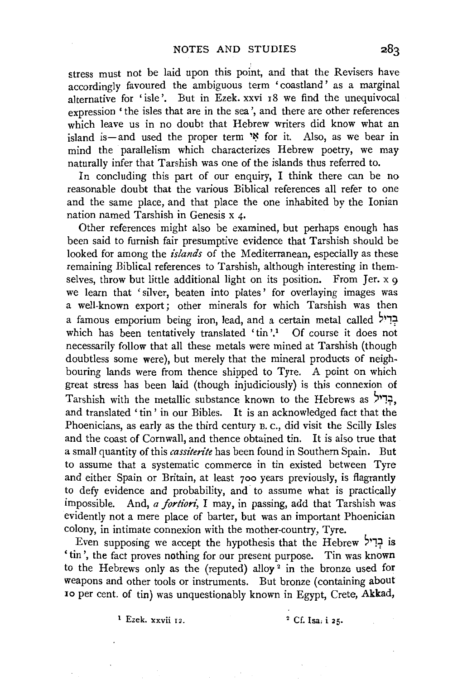stress must not be laid upon this point, and that the Revisers have accordingly favoured the ambiguous term 'coastland' as a marginal alternative for 'isle'. But in Ezek. xxvi  $18$  we find the unequivocal expression 'the isles that are in the sea', and there are other references which leave us in no doubt that Hebrew writers did know what an island is-and used the proper term  $\cdot$  for it. Also, as we bear in mind the parallelism which characterizes Hebrew poetry, we may naturally infer that Tarshish was one of the islands thus referred to.

In concluding this part of our enquiry, I think there can be no reasonable doubt that the various Biblical references all refer to one and the same place, and that place the one inhabited by the Ionian nation named Tarshish in Genesis x 4·

Other references might also be examined, but perhaps enough has been said to furnish fair presumptive evidence that Tarshish should be looked for among the *islands* of the Mediterranean, especially as these remaining Biblical references to Tarshish, although interesting in themselves, throw but little additional light on its position. From Jer. x 9 we learn that 'silver, beaten into plates' for overlaying images was a well-known export; other minerals for which Tarshish was then a famous emporium being iron, lead, and a certain metal called בְּדִיל which has been tentatively translated 'tin'.<sup>1</sup> Of course it does not necessarily follow that all these metals were mined at Tarshish (though doubtless some were), but merely that the mineral products of neighbouring lands were from thence shipped to Tyre. A point on which great stress has been laid (though injudiciously) is this connexion of Tarshish with the metallic substance known to the Hebrews as  $r=1$ : and translated ' tin ' in our Bibles. It is an acknowledged fact that the Phoenicians, as early as the third century B. c., did visit the Scilly Isles and the coast of Cornwall, and thence obtained tin. It is also true that a small quantity of this *cassiten'te* has been found in Southern Spain. But to assume that a systematic commerce in tin existed between Tyre and either Spain or Britain, at least 700 years previously, is flagrantly to defy evidence and probability, and to assume what is practically impossible. And, *a fortiori,* I may, in passing, add that Tarshish was evidently not a mere place of barter, but was an important Phoenician colony, in intimate connexion with the mother-country, Tyre.

Even supposing we accept the hypothesis that the Hebrew  $\frac{1}{2}$  is 'tin', the fact proves nothing for our present purpose. Tin was known to the Hebrews only as the (reputed) alloy<sup>2</sup> in the bronze used for weapons and other tools or instruments. But bronze (containing about Io per cent. of tin) was unquestionably known in Egypt, Crete, Akkad,

 $1$  Ezek. xxvii 12.  $25$  Cf. Isa. i 25.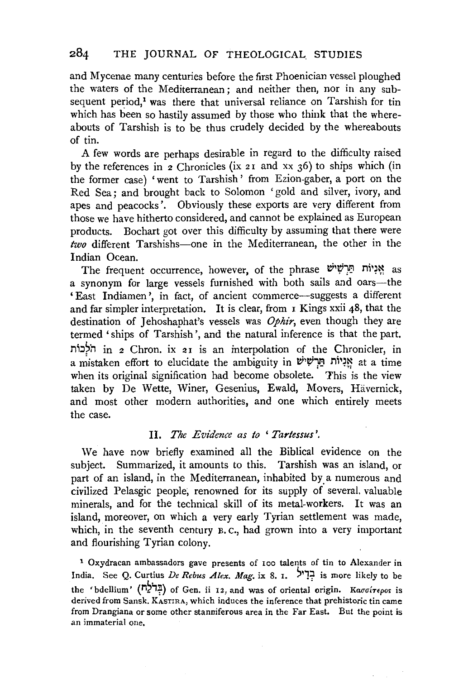and Mycenae many centuries before the first Phoenician vessel ploughed the waters of the Mediterranean; and neither then, nor in any subsequent period,<sup>1</sup> was there that universal reliance on Tarshish for tin which has been so hastily assumed by those who think that the whereabouts of Tarshish is to be thus crudely decided by the whereabouts of tin.

A few words are perhaps desirable in regard to the difficulty raised by the references in 2 Chronicles (ix 21 and xx 36) to ships which (in the former case) ' went to Tarshish ' from Ezion-gaber, a port on the Red Sea; and brought back to Solomon 'gold and silver, ivory, and apes and peacocks'. Obviously these exports are very different from those we have hitherto considered, and cannot be explained as European products. Bochart got over this difficulty by assuming that there were *two* different Tarshishs-one in the Mediterranean, the other in the Indian Ocean.

The frequent occurrence, however, of the phrase אֲנָיוֹת תַּרְשָׁישׁ a synonym for large vessels furnished with both sails and oars-the 'East Indiamen ', in fact, of ancient commerce-suggests a different and far simpler interpretation. It is clear, from  $\bar{I}$  Kings xxii 48, that the destination of Jehoshaphat's vessels was *Ophir*, even though they are termed 'ships of Tarshish ', and the natural inference is that the part. ni:l?n in 2 Chron. ix 2 I is an interpolation of the Chronicler, in a mistaken effort to elucidate the ambiguity in אֲיָיוֹת תַּרְשִׁישׁ at a time when its original signification had become obsolete. This is the view taken by De Wette, Winer, Gesenius, Ewald, Movers, Hävernick, and most other modern authorities, and one which entirely meets the case.

## II. *The Evidence as to* ' *Tartessus* '.

We have now briefly examined all the Biblical evidence on the subject. Summarized, it amounts to this. Tarshish was an island, or part of an island, in the Mediterranean, inhabited by a numerous and civilized Pelasgic people; renowned for its supply of several. valuable minerals, and for the technical skill of its metal-workers. It was an island, moreover, on which a very early Tyrian settlement was made, which, in the seventh century B.C., had grown into a very important and flourishing Tyrian colony.

1 Oxydracan ambassadors gave presents of 100 talents of tin to Alexander in India. See Q. Curtius *De Rebus Alex. Mag.* ix 8. 1.  $\sum_{i=1}^{n}$  is more likely to be the 'bdellium' ( $\overrightarrow{P}$ ,  $\overrightarrow{P}$ ) of Gen. ii 12, and was of oriental origin. Kaovirepos is derived from Sansk. KASTIRA, which induces the inference that prehistoric tin came from Drangiana or some other stanniferous area in the Far East. But the point is an immaterial one.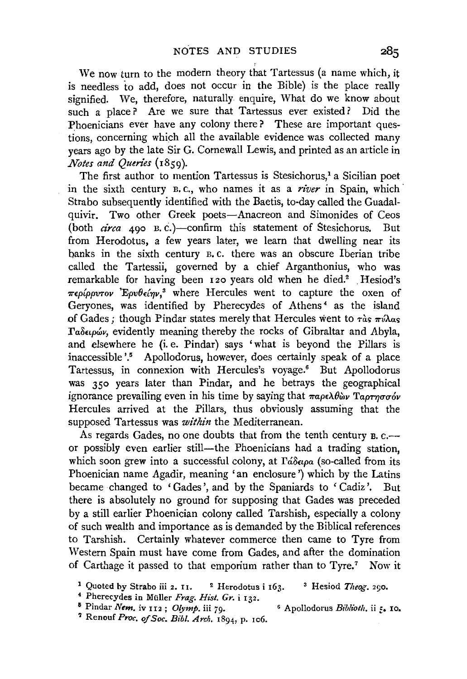We now turn to the modern theory that Tartessus (a name which, it is needless to add, does not occur in the Bible) is the place really signified. We, therefore, naturally enquire, What do we know about such a place? Are we sure that Tartessus ever existed? Did the Phoenicians ever have any colony there? These are important questions, concerning which all the available evidence was collected many years ago by the late Sir G. Cornewall Lewis, and printed as an article in *Notes and Queries* (1859).

The first author to mention Tartessus is Stesichorus,<sup>1</sup> a Sicilian poet in the sixth century B. c., who names it as a *river* in Spain, which · Strabo subsequently identified with the Baetis, to-day called the Guadalquivir. Two other Greek poets-Anacreon and Simonides of Ceos (both *circa* 490 B.C.)—confirm this statement of Stesichorus. But from Herodotus, a few years later, we learn that dwelling near its banks in the sixth century B, c. there was an obscure Iberian tribe called the Tartessii, governed by a chief Arganthonius, who was remarkable for having been 120 years old when he died.<sup>2</sup> Hesiod's  $\pi\epsilon\rho(\rho\rho v\tau o\nu$  'Epv $\theta\epsilon(\eta\nu,^3)$  where Hercules went to capture the oxen of Geryones, was identified by Pherecydes of Athens<sup>4</sup> as the island of Gades ; though Pindar states merely that Hercules went to  $\tau$ às  $\pi \nu \lambda \alpha s$ *Γαδειρών*, evidently meaning thereby the rocks of Gibraltar and Abyla. and elsewhere he (i. e. Pindar) says 'what is beyond the Pillars is inaccessible '.<sup>5</sup> Apollodorus, however, does certainly speak of a place Tartessus, in connexion with Hercules's voyage.<sup>6</sup> But Apollodorus was 350 years later than Pindar, and he betrays the geographical ignorance prevailing even in his time by saying that  $\pi a \rho \epsilon \lambda \theta \omega \nu$  Taprnov ov Hercules arrived at the Pillars, thus obviously assuming that the supposed Tartessus was *within* the Mediterranean.

As regards Gades, no one doubts that from the tenth century B. c. or possibly even earlier still-the Phoenicians had a trading station, which soon grew into a successful colony, at Γάδειρα (so-called from its Phoenician name Agadir, meaning 'an enclosure') which by the Latins became changed to 'Gades ', and by the Spaniards to 'Cadiz'. But there is absolutely no ground for supposing that Gades was preceded by a still earlier Phoenician colony called Tarshish, especially a colony of such wealth and importance as is demanded by the Biblical references to Tarshish. Certainly whatever commerce then came to Tyre from Western Spain must have come from Gades, and after the domination of Carthage it passed to that emporium rather than to Tyre.<sup>7</sup> Now it

<sup>&</sup>lt;sup>1</sup> Quoted by Strabo iii 2. II. <sup>2</sup> Herodotus i 163. <sup>3</sup> Hesiod *Theog.* 290.<br><sup>4</sup> Pherecydes in Müller *Frag. Hist. Gr.* i 132.

<sup>&</sup>lt;sup>5</sup> Pindar *Nem.* iv 112; *Olymp.* iii 79. <sup>6</sup> Apollodorus *Biblioth.* ii  $\epsilon$ , 10. 7 Renouf *Proc. of Soc. Bibl. Arch.* 1894, p. 106.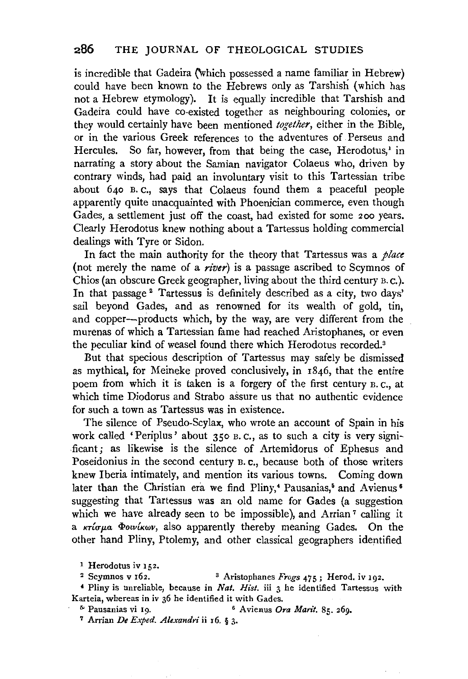is incredible that Gadeira (which possessed a name familiar in Hebrew) could have been known to the Hebrews only as Tarshish (which has not a Hebrew etymology). It is equally incredible that Tarshish and Gadeira could have co-existed together as neighbouring colonies, or they would certainly have been mentioned *together,* either in the Bible, or in the various Greek references to the adventures of Perseus and Hercules. So far, however, from that being the case, Herodotus,<sup>1</sup> in narrating a story about the Samian navigator Colaeus who, driven by contrary winds, had paid an involuntary visit to this Tartessian tribe about 640 B. c., says that Colaeus found them a peaceful people apparently quite unacquainted with Phoenician commerce, even though Gades, a settlement just off the coast, had existed for some *zoo* years. Clearly Herodotus knew nothing about a Tartessus holding commercial dealings with Tyre or Sidon.

In fact the main authority for the theory that Tartessus was a *place*  (not merely the name of a *river)* is a passage ascribed to Scymnos of Chios (an obscure Greek geographer, living about the third century B.c.). In that passage<sup>2</sup> Tartessus is definitely described as a city, two days' sail beyond Gades, and as renowned for its wealth of gold, tin, and copper-products which, by the way, are very different from the murenas of which a Tartessian fame had reached Aristophanes, or even the peculiar kind of weasel found there which Herodotus recorded.3

But that specious description of Tartessus may safely be dismissed as mythical, for Meineke proved conclusively, in 1846, that the entire poem from which it is taken is a forgery of the first century B. c., at which time Diodorus and Strabo assure us that no authentic evidence for such a town as Tartessus was in existence.

The silence of Pseudo-Scylax, who wrote an account of Spain in his work called 'Periplus' about 350 B. c., as to such a city is very signi- .ficant; as likewise is the silence of Artemidorus of Ephesus and Poseidonius in the second century B. c., because both of those writers knew Iberia intimately, and mention its various towns. Coming down later than the Christian era we find Pliny,<sup>4</sup> Pausanias,<sup>5</sup> and Avienus<sup>6</sup> suggesting that Tartessus was an old name for Gades (a suggestion which we have already seen to be impossible), and Arrian<sup>7</sup> calling it a  $\kappa\tau\omega\mu\alpha$  Φοινίκων, also apparently thereby meaning Gades. On the other hand Pliny, Ptolemy, and other classical geographers identified

1 Herodotus iv 152. 2 Scymnos v 162. 3 Aristophanes *Frogs* 475; Herod. iv 192.

' Pliny is unreliable, because in *Nat. Hist.* iii 3 he identified Tartessus with Karteia, whereas in iv 36 he identified it with Gades.

5> Pausanias vi 19. 6 Avienus *Ora Marit.* 85. 269.

7 Arrian *De Exped. Alexandri* ii 16. § 3·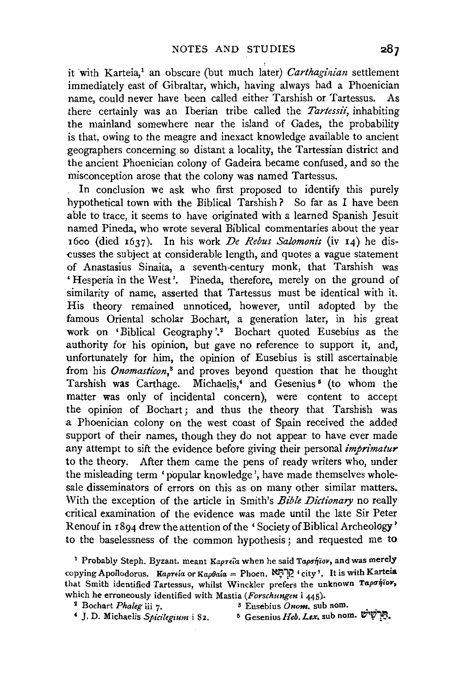it with Karteia/ an obscure (but much later) *Carthaginian* settlement immediately east of Gibraltar, which, having always had a Phoenician name, could never have been called either Tarshish or Tartessus. As there certainly was an Iberian tribe called the *Tartessii,* inhabiting the mainland somewhere near the island of Gades, the probability is that, owing to the meagre and inexact knowledge available to ancient geographers concerning so distant a locality, the Tartessian district and the ancient Phoenician colony of Gadeira became confused, and so the misconception arose that the colony was named Tartessus.

In conclusion we ask who first proposed to identify this purely hypothetical town with the Biblical Tarshish? So far as I have been able to trace, it seems to have originated with a learned Spanish Jesuit named Pineda, who wrote several Biblical commentaries about the year 16oo (died 1637). In his work *De Rebus Salomonis* (iv 14) he discusses the subject at considerable length, and quotes a vague statement of Anastasius Sinaita, a seventh-century monk, that Tarshish was 'Hesperia in the West'. Pineda, therefore, merely on the ground of similarity of name, asserted that Tartessus must be identical with it. His theory remained unnoticed, however, until adopted by the famous Oriental scholar Bochart, a generation later, in his great work on 'Biblical Geography'.<sup>2</sup> Bochart quoted Eusebius as the authority for his opinion, but gave no reference to support it, and, unfortunately for him, the opinion of Eusebius is still ascertainable from his *Onomasticon,8* and proves beyond question that he thought Tarshish was Carthage. Michaelis,<sup>4</sup> and Gesenius<sup>8</sup> (to whom the matter was only of incidental concern), were content to accept the opinion of Bochart ; and thus the theory that Tarshish was a Phoenician colony on the west coast of Spain received the added support of their names, though they do not appear to have ever made any attempt to sift the evidence before giving their personal *imprimatur*  to the theory. After them came the pens of ready writers who, under the misleading term 'popular knowledge', have made themselves wholesale disseminators of errors on this as on many other similar matters. With the exception of the article in Smith's *Bible Dictionary* no really critical examination of the evidence was made until the late Sir Peter Renouf in 1894 drew the attention of the ' Society of Biblical Archeology' to the baselessness of the common hypothesis; and requested me to

<sup>2</sup> Bochart *Phaleg* iii 7. <sup>8</sup> Eusebius *Onom.* sub nom.

- 
- <sup>6</sup> J. D. Michaelis *Spicilegium* i 82. 5 Gesenius *Heb. Lex.* sub nom.  $\mathcal{W}^{\text{up}}$ .

<sup>&</sup>lt;sup>1</sup> Probably Steph. Byzant. meant Kapreia when he said Taponiov, and was merely copying Apollodorus. Καρτεία οr Καρθαία = Phoen. ΝΤΡΙ ' city'. It is with Karteia that Smith identified Tartessus, whilst Winckler prefers the unknown Taponiov, which he erroneously identified with Mastia *(Forschungen* i 445).<br><sup>2</sup> Bochart *Phaleg* iii 7. <sup>8</sup> Eusebius *Onom*, sub nom.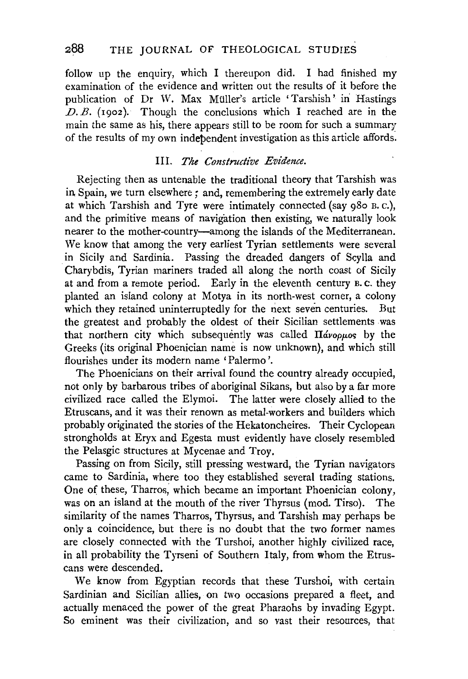follow up the enquiry, which I thereupon did. I had finished my examination of the evidence and written out the results of it before the publication of Dr W. Max Müller's article 'Tarshish' in Hastings  $D.B.$  (1902). Though the conclusions which I reached are in the main the same as his, there appears still to be room for such a summary of the results of my own independent investigation as this article affords.

## III. *The Constructive Evidence.*

Rejecting then as untenable the traditional theory that Tarshish was in Spain, we turn elsewhere; and, remembering the extremely early date at which Tarshish and Tyre were intimately connected (say g8o B. c.), and the primitive means of navigation then existing, we naturally look nearer to the mother-country-among the islands of the Mediterranean. We know that among the very earliest Tyrian settlements were several in Sicily and Sardinia. Passing the dreaded dangers of Scylla and Charybdis, Tyrian mariners traded all along the north coast of Sicily at and from a remote period. Early in the eleventh century B. c. they planted an island colony at Motya in its north-west corner, a colony which they retained uninterruptedly for the next seven centuries. But the greatest and probably the oldest of their Sicilian settlements was that northern city which subsequently was called *II avopuos* by the Greeks (its original Phoenician name is now unknown), and which still flourishes under its modern name 'Palermo'.

The Phoenicians on their arrival found the country already occupied, not only by barbarous tribes of aboriginal Sikans, but also by a far more civilized race called the Elymoi. The latter were closely allied to the Etruscans, and it was their renown as metal-workers and builders which probably originated the stories of the Hekatoncheires. Their Cyclopean strongholds at Eryx and Egesta must evidently have closely resembled the Pelasgic structures at Mycenae and Troy.

Passing on from Sicily, still pressing westward, the Tyrian navigators came to Sardinia, where too they established several trading stations. One of these, Tharros, which became an important Phoenician colony, was on an island at the mouth of the river Thyrsus (mod. Tirso). The similarity of the names Tharros, Thyrsus, and Tarshish may perhaps be only a coincidence, but there is no doubt that the two former names are closely connected with the Turshoi, another highly civilized race, in all probability the Tyrseni of Southern Italy, from whom the Etruscans were descended.

We know from Egyptian records that these Turshoi, with certain Sardinian and Sicilian allies, on two occasions prepared a fleet, and actually menaced the power of the great Pharaohs by invading Egypt. So eminent was their civilization, and so vast their resources, that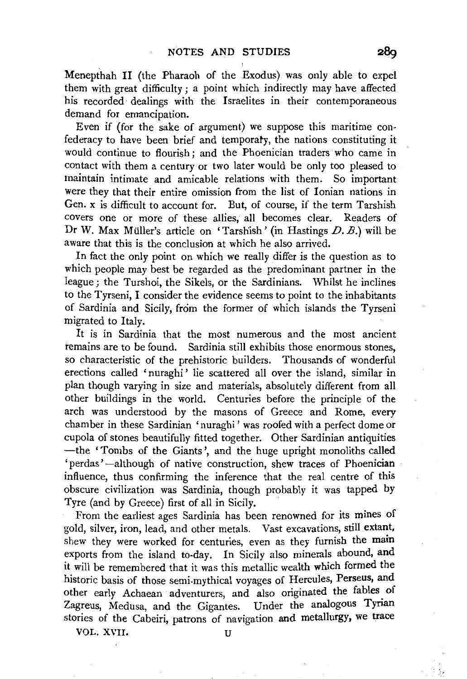Menepthah II (the Pharaoh of the Exodus) was only able to expel them with great difficulty; a point which indirectly may have affected his recorded dealings with the Israelites in their contemporaneous demand for emancipation.

Even if (for the sake of argument) we suppose this maritime confederacy to have been brief and temporaty, the nations constituting it would continue to flourish; and the Phoenician traders who came in contact with them a century or two later would be only too pleased to maintain intimate and amicable relations with them. So important were they that their entire omission from the list of Ionian nations in Gen. x is difficult to account for. But, of course, if the term Tarshish covers one or more of these allies, all becomes clear. Readers of Dr W. Max Müller's article on 'Tarshish' (in Hastings  $D. B.$ ) will be aware that this is the conclusion at which he also arrived.

In fact the only point on which we really differ is the question as to which people may best be regarded as the predominant partner in the league; the Turshoi, the Sikels, or the Sardinians. Whilst he inclines to the Tyrseni, I consider the evidence seems to point to the inhabitants of Sardinia and Sicily, from the former of which islands the Tyrseni migrated to Italy.

It is in Sardinia that the most numerous and the most ancient remains are to be found. Sardinia still exhibits those enormous stones, so characteristic of the prehistoric builders. Thousands of wonderful erections called 'nuraghi' lie scattered all over the island, similar in plan though varying in size and materials, absolutely different from all other buildings in the world. Centuries before the principle of the arch was understood by the masons of Greece and Rome, every chamber in these Sardinian 'nuraghi' was roofed with a perfect dome or cupola of stones beautifully fitted together. Other Sardinian antiquities -the 'Tombs of the Giants', and the huge upright monoliths called 'perdas'-although of native construction, shew traces of Phoenician influence, thus confirming the inference that the real centre of this obscure civilization was Sardinia, though probably it was tapped by Tyre (and by Greece) first of all in Sicily.

From the earliest ages Sardinia has been renowned for its mines of gold, silver, iron, lead, and other metals. Vast excavations, still extant, shew they were worked for centuries, even as they furnish the main exports from the island to-day. In Sicily also minerals abound, and it will be remembered that it was this metallic wealth which formed the historic basis of those semi-mythical voyages of Hercules, Perseus, and other early Achaean adventurers, and also originated the fables of Zagreus, Medusa, and the Gigantes. Under the analogous Tyrian stories of the Cabeiri, patrons of navigation and metallurgy, we trace

VOL. XVII.

 $28q$